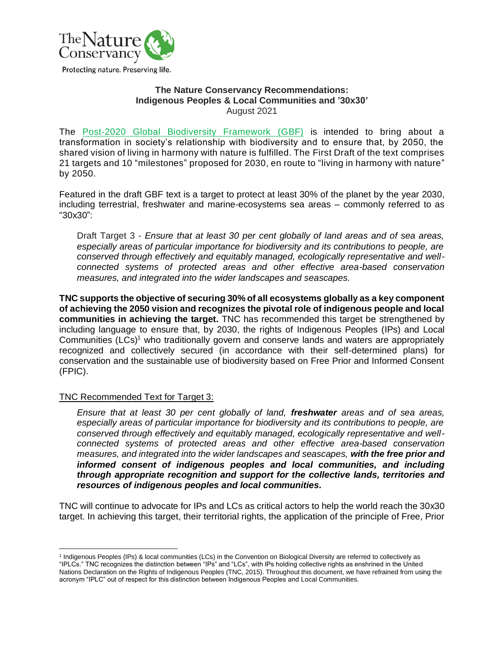

### **The Nature Conservancy Recommendations: Indigenous Peoples & Local Communities and '30x30'** August 2021

The [Post-2020 Global Biodiversity Framework](https://www.cbd.int/doc/c/abb5/591f/2e46096d3f0330b08ce87a45/wg2020-03-03-en.pdf) (GBF) is intended to bring about a transformation in society's relationship with biodiversity and to ensure that, by 2050, the shared vision of living in harmony with nature is fulfilled. The First Draft of the text comprises 21 targets and 10 "milestones" proposed for 2030, en route to "living in harmony with nature" by 2050.

Featured in the draft GBF text is a target to protect at least 30% of the planet by the year 2030, including terrestrial, freshwater and marine-ecosystems sea areas – commonly referred to as "30x30":

Draft Target 3 - *Ensure that at least 30 per cent globally of land areas and of sea areas, especially areas of particular importance for biodiversity and its contributions to people, are conserved through effectively and equitably managed, ecologically representative and wellconnected systems of protected areas and other effective area-based conservation measures, and integrated into the wider landscapes and seascapes.*

**TNC supports the objective of securing 30% of all ecosystems globally as a key component of achieving the 2050 vision and recognizes the pivotal role of indigenous people and local communities in achieving the target.** TNC has recommended this target be strengthened by including language to ensure that, by 2030, the rights of Indigenous Peoples (IPs) and Local Communities (LCs)<sup>1</sup> who traditionally govern and conserve lands and waters are appropriately recognized and collectively secured (in accordance with their self-determined plans) for conservation and the sustainable use of biodiversity based on Free Prior and Informed Consent (FPIC).

# TNC Recommended Text for Target 3:

*Ensure that at least 30 per cent globally of land, freshwater areas and of sea areas, especially areas of particular importance for biodiversity and its contributions to people, are conserved through effectively and equitably managed, ecologically representative and wellconnected systems of protected areas and other effective area-based conservation measures, and integrated into the wider landscapes and seascapes, with the free prior and informed consent of indigenous peoples and local communities, and including through appropriate recognition and support for the collective lands, territories and resources of indigenous peoples and local communities.*

TNC will continue to advocate for IPs and LCs as critical actors to help the world reach the 30x30 target. In achieving this target, their territorial rights, the application of the principle of Free, Prior

<sup>&</sup>lt;sup>1</sup> Indigenous Peoples (IPs) & local communities (LCs) in the Convention on Biological Diversity are referred to collectively as "IPLCs." TNC recognizes the distinction between "IPs" and "LCs", with IPs holding collective rights as enshrined in the United Nations Declaration on the Rights of Indigenous Peoples (TNC, 2015). Throughout this document, we have refrained from using the

acronym "IPLC" out of respect for this distinction between Indigenous Peoples and Local Communities.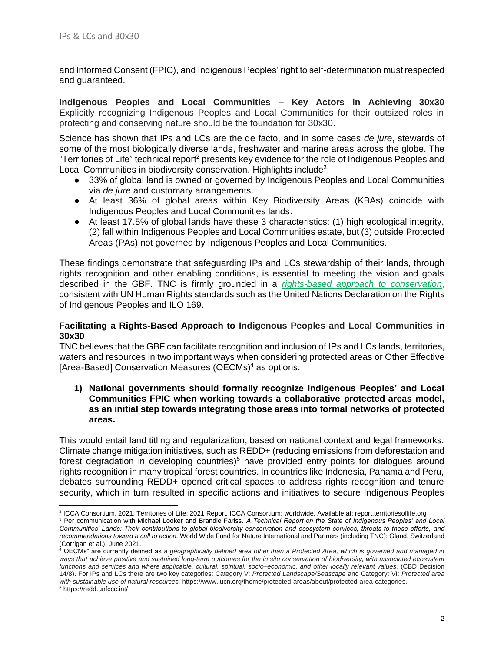and Informed Consent (FPIC), and Indigenous Peoples' right to self-determination must respected and guaranteed.

**Indigenous Peoples and Local Communities – Key Actors in Achieving 30x30**  Explicitly recognizing Indigenous Peoples and Local Communities for their outsized roles in protecting and conserving nature should be the foundation for 30x30.

Science has shown that IPs and LCs are the de facto, and in some cases *de jure*, stewards of some of the most biologically diverse lands, freshwater and marine areas across the globe. The "Territories of Life" technical report<sup>2</sup> presents key evidence for the role of Indigenous Peoples and Local Communities in biodiversity conservation. Highlights include<sup>3</sup>:

- 33% of global land is owned or governed by Indigenous Peoples and Local Communities via *de jure* and customary arrangements.
- At least 36% of global areas within Key Biodiversity Areas (KBAs) coincide with Indigenous Peoples and Local Communities lands.
- At least 17.5% of global lands have these 3 characteristics: (1) high ecological integrity, (2) fall within Indigenous Peoples and Local Communities estate, but (3) outside Protected Areas (PAs) not governed by Indigenous Peoples and Local Communities.

These findings demonstrate that safeguarding IPs and LCs stewardship of their lands, through rights recognition and other enabling conditions, is essential to meeting the vision and goals described in the GBF. TNC is firmly grounded in a *[rights-based approach to conservation](https://www.nature.org/en-us/about-us/who-we-are/how-we-work/community-led-conservation/?tab_q=tab_container-tab_element_1414665003)*, consistent with UN Human Rights standards such as the United Nations Declaration on the Rights of Indigenous Peoples and ILO 169.

## **Facilitating a Rights-Based Approach to Indigenous Peoples and Local Communities in 30x30**

TNC believes that the GBF can facilitate recognition and inclusion of IPs and LCs lands, territories, waters and resources in two important ways when considering protected areas or Other Effective [Area-Based] Conservation Measures (OECMs) <sup>4</sup> as options:

**1) National governments should formally recognize Indigenous Peoples' and Local Communities FPIC when working towards a collaborative protected areas model, as an initial step towards integrating those areas into formal networks of protected areas.**

This would entail land titling and regularization, based on national context and legal frameworks. Climate change mitigation initiatives, such as REDD+ (reducing emissions from deforestation and forest degradation in developing countries)<sup>5</sup> have provided entry points for dialogues around rights recognition in many tropical forest countries. In countries like Indonesia, Panama and Peru, debates surrounding REDD+ opened critical spaces to address rights recognition and tenure security, which in turn resulted in specific actions and initiatives to secure Indigenous Peoples

<sup>2</sup> ICCA Consortium. 2021. Territories of Life: 2021 Report. ICCA Consortium: worldwide. Available at: report.territoriesoflife.org

<sup>3</sup> Per communication with Michael Looker and Brandie Fariss. *A Technical Report on the State of Indigenous Peoples' and Local Communities' Lands: Their contributions to global biodiversity conservation and ecosystem services, threats to these efforts, and recommendations toward a call to action.* World Wide Fund for Nature International and Partners (including TNC): Gland, Switzerland (Corrigan et al.) June 2021.

<sup>4</sup> OECMs" are currently defined as *a geographically defined area other than a Protected Area, which is governed and managed in ways that achieve positive and sustained long-term outcomes for the in situ conservation of biodiversity, with associated ecosystem*  functions and services and where applicable, cultural, spiritual, socio–economic, and other locally relevant values. (CBD Decision 14/8). For IPs and LCs there are two key categories: Category V: *Protected Landscape/Seascape* and Category: VI: *Protected area with sustainable use of natural resources.* https://www.iucn.org/theme/protected-areas/about/protected-area-categories.

<sup>5</sup> https://redd.unfccc.int/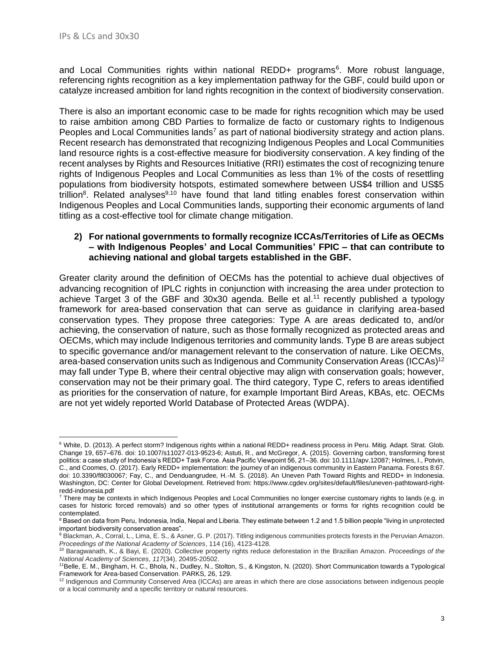and Local Communities rights within national REDD+ programs<sup>6</sup>. More robust language, referencing rights recognition as a key implementation pathway for the GBF, could build upon or catalyze increased ambition for land rights recognition in the context of biodiversity conservation.

There is also an important economic case to be made for rights recognition which may be used to raise ambition among CBD Parties to formalize de facto or customary rights to Indigenous Peoples and Local Communities lands<sup>7</sup> as part of national biodiversity strategy and action plans. Recent research has demonstrated that recognizing Indigenous Peoples and Local Communities land resource rights is a cost-effective measure for biodiversity conservation. A key finding of the recent analyses by Rights and Resources Initiative (RRI) estimates the cost of recognizing tenure rights of Indigenous Peoples and Local Communities as less than 1% of the costs of resettling populations from biodiversity hotspots, estimated somewhere between US\$4 trillion and US\$5 trillion<sup>8</sup>. Related analyses<sup>9,10</sup> have found that land titling enables forest conservation within Indigenous Peoples and Local Communities lands, supporting their economic arguments of land titling as a cost-effective tool for climate change mitigation.

### **2) For national governments to formally recognize ICCAs/Territories of Life as OECMs – with Indigenous Peoples' and Local Communities' FPIC – that can contribute to achieving national and global targets established in the GBF.**

Greater clarity around the definition of OECMs has the potential to achieve dual objectives of advancing recognition of IPLC rights in conjunction with increasing the area under protection to achieve Target 3 of the GBF and 30x30 agenda. Belle et al.<sup>11</sup> recently published a typology framework for area-based conservation that can serve as guidance in clarifying area-based conservation types. They propose three categories: Type A are areas dedicated to, and/or achieving, the conservation of nature, such as those formally recognized as protected areas and OECMs, which may include Indigenous territories and community lands. Type B are areas subject to specific governance and/or management relevant to the conservation of nature. Like OECMs, area-based conservation units such as Indigenous and Community Conservation Areas (ICCAs)<sup>12</sup> may fall under Type B, where their central objective may align with conservation goals; however, conservation may not be their primary goal. The third category, Type C, refers to areas identified as priorities for the conservation of nature, for example Important Bird Areas, KBAs, etc. OECMs are not yet widely reported World Database of Protected Areas (WDPA).

<sup>6</sup> White, D. (2013). A perfect storm? Indigenous rights within a national REDD+ readiness process in Peru. Mitig. Adapt. Strat. Glob. Change 19, 657–676. doi: 10.1007/s11027-013-9523-6; Astuti, R., and McGregor, A. (2015). Governing carbon, transforming forest politics: a case study of Indonesia's REDD+ Task Force. Asia Pacific Viewpoint 56, 21–36. doi: 10.1111/apv.12087; Holmes, I., Potvin, C., and Coomes, O. (2017). Early REDD+ implementation: the journey of an indigenous community in Eastern Panama. Forests 8:67. doi: 10.3390/f8030067; Fay, C., and Denduangrudee, H.-M. S. (2018). An Uneven Path Toward Rights and REDD+ in Indonesia. Washington, DC: Center for Global Development. Retrieved from: https://www.cgdev.org/sites/default/files/uneven-pathtoward-rightredd-indonesia.pdf

<sup>&</sup>lt;sup>7</sup> There may be contexts in which Indigenous Peoples and Local Communities no longer exercise customary rights to lands (e.g. in cases for historic forced removals) and so other types of institutional arrangements or forms for rights recognition could be contemplated.

<sup>8</sup> Based on data from Peru, Indonesia, India, Nepal and Liberia. They estimate between 1.2 and 1.5 billion people "living in unprotected important biodiversity conservation areas".

<sup>9</sup> Blackman, A., Corral, L., Lima, E. S., & Asner, G. P. (2017). Titling indigenous communities protects forests in the Peruvian Amazon. *Proceedings of the National Academy of Sciences*, 114 (16), 4123-4128.

<sup>10</sup> Baragwanath, K., & Bayi, E. (2020). Collective property rights reduce deforestation in the Brazilian Amazon. *Proceedings of the National Academy of Sciences*, *117*(34), 20495-20502.

<sup>&</sup>lt;sup>11</sup>Belle, E. M., Bingham, H. C., Bhola, N., Dudley, N., Stolton, S., & Kingston, N. (2020). Short Communication towards a Typological Framework for Area-based Conservation. PARKS, 26, 129.

<sup>&</sup>lt;sup>12</sup> Indigenous and Community Conserved Area (ICCAs) are areas in which there are close associations between indigenous people or a local community and a specific territory or natural resources.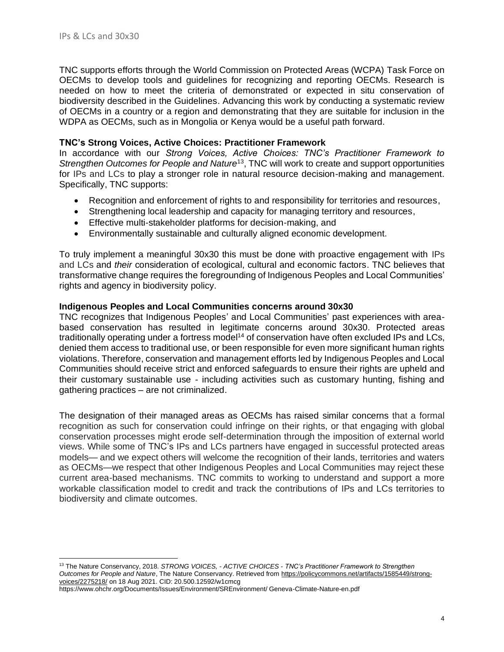TNC supports efforts through the World Commission on Protected Areas (WCPA) Task Force on OECMs to develop tools and guidelines for recognizing and reporting OECMs. Research is needed on how to meet the criteria of demonstrated or expected in situ conservation of biodiversity described in the Guidelines. Advancing this work by conducting a systematic review of OECMs in a country or a region and demonstrating that they are suitable for inclusion in the WDPA as OECMs, such as in Mongolia or Kenya would be a useful path forward.

## **TNC's Strong Voices, Active Choices: Practitioner Framework**

In accordance with our *Strong Voices, Active Choices: TNC's Practitioner Framework to Strengthen Outcomes for People and Nature*<sup>13</sup>, TNC will work to create and support opportunities for IPs and LCs to play a stronger role in natural resource decision-making and management. Specifically, TNC supports:

- Recognition and enforcement of rights to and responsibility for territories and resources,
- Strengthening local leadership and capacity for managing territory and resources,
- Effective multi-stakeholder platforms for decision-making, and
- Environmentally sustainable and culturally aligned economic development.

To truly implement a meaningful 30x30 this must be done with proactive engagement with IPs and LCs and *their* consideration of ecological, cultural and economic factors. TNC believes that transformative change requires the foregrounding of Indigenous Peoples and Local Communities' rights and agency in biodiversity policy.

#### **Indigenous Peoples and Local Communities concerns around 30x30**

TNC recognizes that Indigenous Peoples' and Local Communities' past experiences with areabased conservation has resulted in legitimate concerns around 30x30. Protected areas traditionally operating under a fortress model<sup>14</sup> of conservation have often excluded IPs and LCs, denied them access to traditional use, or been responsible for even more significant human rights violations. Therefore, conservation and management efforts led by Indigenous Peoples and Local Communities should receive strict and enforced safeguards to ensure their rights are upheld and their customary sustainable use - including activities such as customary hunting, fishing and gathering practices – are not criminalized.

The designation of their managed areas as OECMs has raised similar concerns that a formal recognition as such for conservation could infringe on their rights, or that engaging with global conservation processes might erode self-determination through the imposition of external world views. While some of TNC's IPs and LCs partners have engaged in successful protected areas models— and we expect others will welcome the recognition of their lands, territories and waters as OECMs—we respect that other Indigenous Peoples and Local Communities may reject these current area-based mechanisms. TNC commits to working to understand and support a more workable classification model to credit and track the contributions of IPs and LCs territories to biodiversity and climate outcomes.

<sup>13</sup> The Nature Conservancy, 2018. *STRONG VOICES, - ACTIVE CHOICES - TNC's Practitioner Framework to Strengthen Outcomes for People and Nature*, The Nature Conservancy. Retrieved from [https://policycommons.net/artifacts/1585449/strong](https://policycommons.net/artifacts/1585449/strong-voices/2275218/)[voices/2275218/](https://policycommons.net/artifacts/1585449/strong-voices/2275218/) on 18 Aug 2021. CID: 20.500.12592/w1cmcg

https://www.ohchr.org/Documents/Issues/Environment/SREnvironment/ Geneva-Climate-Nature-en.pdf